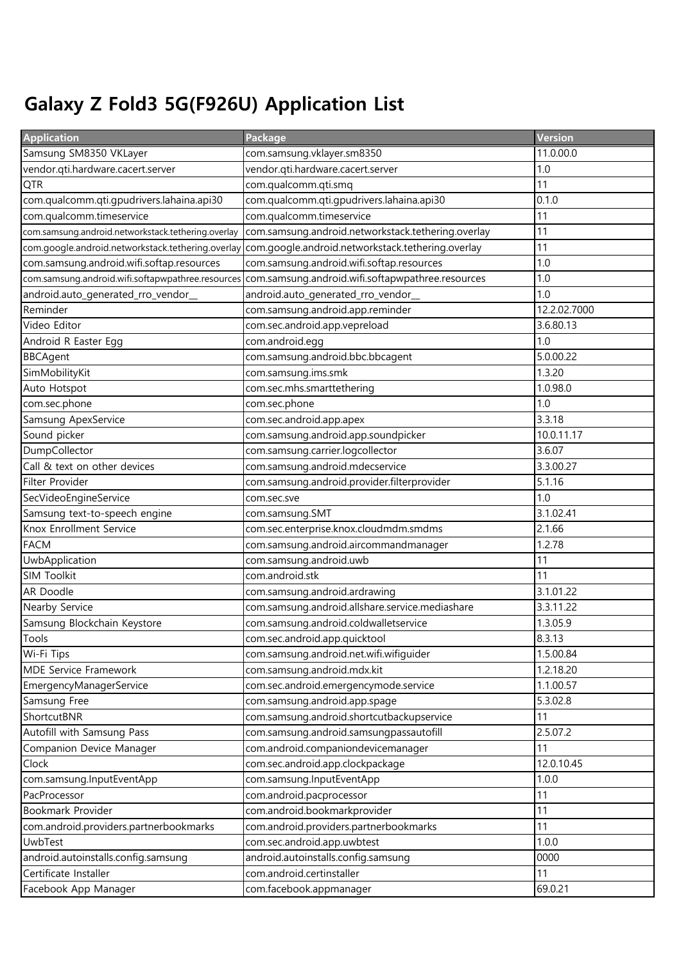## Galaxy Z Fold3 5G(F926U) Application List

| <b>Application</b>                                 | Package                                            | Version      |
|----------------------------------------------------|----------------------------------------------------|--------------|
| Samsung SM8350 VKLayer                             | com.samsung.vklayer.sm8350                         | 11.0.00.0    |
| vendor.qti.hardware.cacert.server                  | vendor.qti.hardware.cacert.server                  | 1.0          |
| <b>QTR</b>                                         | com.qualcomm.qti.smq                               | 11           |
| com.qualcomm.qti.gpudrivers.lahaina.api30          | com.qualcomm.qti.gpudrivers.lahaina.api30          | 0.1.0        |
| com.qualcomm.timeservice                           | com.qualcomm.timeservice                           | 11           |
| com.samsung.android.networkstack.tethering.overlay | com.samsung.android.networkstack.tethering.overlay | 11           |
| com.google.android.networkstack.tethering.overlay  | com.google.android.networkstack.tethering.overlay  | 11           |
| com.samsung.android.wifi.softap.resources          | com.samsung.android.wifi.softap.resources          | 1.0          |
| com.samsung.android.wifi.softapwpathree.resources  | com.samsung.android.wifi.softapwpathree.resources  | 1.0          |
| android.auto_generated_rro_vendor_                 | android.auto_generated_rro_vendor_                 | 1.0          |
| Reminder                                           | com.samsung.android.app.reminder                   | 12.2.02.7000 |
| Video Editor                                       | com.sec.android.app.vepreload                      | 3.6.80.13    |
| Android R Easter Egg                               | com.android.egg                                    | 1.0          |
| <b>BBCAgent</b>                                    | com.samsung.android.bbc.bbcagent                   | 5.0.00.22    |
| SimMobilityKit                                     | com.samsung.ims.smk                                | 1.3.20       |
| Auto Hotspot                                       | com.sec.mhs.smarttethering                         | 1.0.98.0     |
| com.sec.phone                                      | com.sec.phone                                      | 1.0          |
| Samsung ApexService                                | com.sec.android.app.apex                           | 3.3.18       |
| Sound picker                                       | com.samsung.android.app.soundpicker                | 10.0.11.17   |
| DumpCollector                                      | com.samsung.carrier.logcollector                   | 3.6.07       |
| Call & text on other devices                       | com.samsung.android.mdecservice                    | 3.3.00.27    |
| Filter Provider                                    | com.samsung.android.provider.filterprovider        | 5.1.16       |
| SecVideoEngineService                              | com.sec.sve                                        | 1.0          |
| Samsung text-to-speech engine                      | com.samsung.SMT                                    | 3.1.02.41    |
| Knox Enrollment Service                            | com.sec.enterprise.knox.cloudmdm.smdms             | 2.1.66       |
| <b>FACM</b>                                        | com.samsung.android.aircommandmanager              | 1.2.78       |
| UwbApplication                                     | com.samsung.android.uwb                            | 11           |
| SIM Toolkit                                        | com.android.stk                                    | 11           |
| AR Doodle                                          | com.samsung.android.ardrawing                      | 3.1.01.22    |
| Nearby Service                                     | com.samsung.android.allshare.service.mediashare    | 3.3.11.22    |
| Samsung Blockchain Keystore                        | com.samsung.android.coldwalletservice              | 1.3.05.9     |
| Tools                                              | com.sec.android.app.quicktool                      | 8.3.13       |
| Wi-Fi Tips                                         | com.samsung.android.net.wifi.wifiguider            | 1.5.00.84    |
| MDE Service Framework                              | com.samsung.android.mdx.kit                        | 1.2.18.20    |
| EmergencyManagerService                            | com.sec.android.emergencymode.service              | 1.1.00.57    |
| Samsung Free                                       | com.samsung.android.app.spage                      | 5.3.02.8     |
| ShortcutBNR                                        | com.samsung.android.shortcutbackupservice          | 11           |
| Autofill with Samsung Pass                         | com.samsung.android.samsungpassautofill            | 2.5.07.2     |
| Companion Device Manager                           | com.android.companiondevicemanager                 | 11           |
| Clock                                              | com.sec.android.app.clockpackage                   | 12.0.10.45   |
| com.samsung.InputEventApp                          | com.samsung.InputEventApp                          | 1.0.0        |
| PacProcessor                                       | com.android.pacprocessor                           | 11           |
| Bookmark Provider                                  | com.android.bookmarkprovider                       | 11           |
| com.android.providers.partnerbookmarks             | com.android.providers.partnerbookmarks             | 11           |
| UwbTest                                            | com.sec.android.app.uwbtest                        | 1.0.0        |
| android.autoinstalls.config.samsung                | android.autoinstalls.config.samsung                | 0000         |
| Certificate Installer                              | com.android.certinstaller                          | 11           |
| Facebook App Manager                               | com.facebook.appmanager                            | 69.0.21      |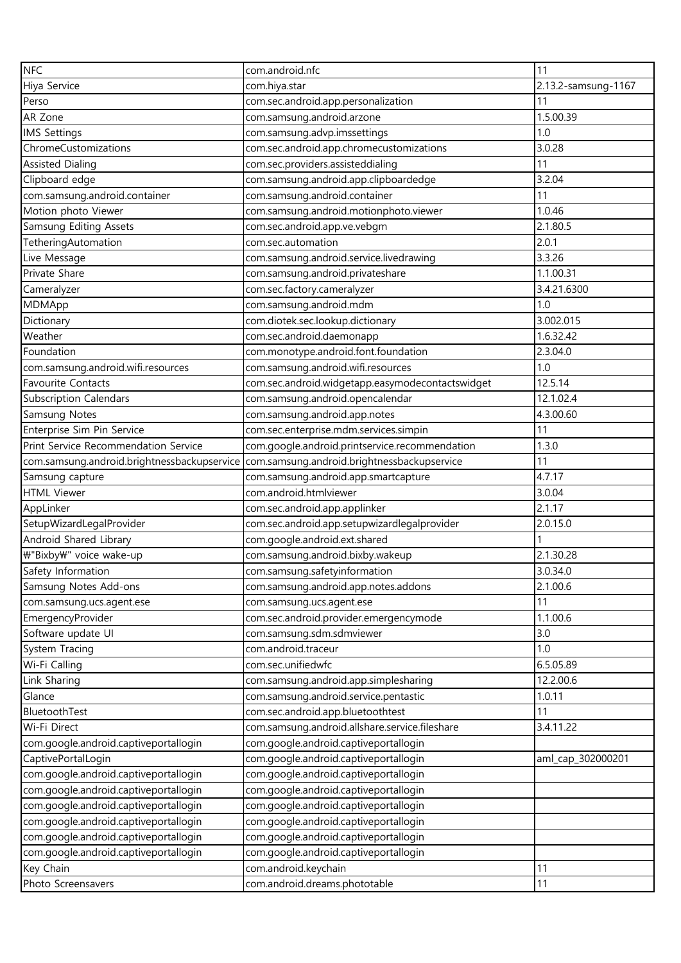| <b>NFC</b>                                  | com.android.nfc                                  | 11                  |
|---------------------------------------------|--------------------------------------------------|---------------------|
| Hiya Service                                | com.hiya.star                                    | 2.13.2-samsung-1167 |
| Perso                                       | com.sec.android.app.personalization              | 11                  |
| AR Zone                                     | com.samsung.android.arzone                       | 1.5.00.39           |
| <b>IMS Settings</b>                         | com.samsung.advp.imssettings                     | 1.0                 |
| ChromeCustomizations                        | com.sec.android.app.chromecustomizations         | 3.0.28              |
| <b>Assisted Dialing</b>                     | com.sec.providers.assisteddialing                | 11                  |
| Clipboard edge                              | com.samsung.android.app.clipboardedge            | 3.2.04              |
| com.samsung.android.container               | com.samsung.android.container                    | 11                  |
| Motion photo Viewer                         | com.samsung.android.motionphoto.viewer           | 1.0.46              |
| Samsung Editing Assets                      | com.sec.android.app.ve.vebgm                     | 2.1.80.5            |
| TetheringAutomation                         | com.sec.automation                               | 2.0.1               |
| Live Message                                | com.samsung.android.service.livedrawing          | 3.3.26              |
| Private Share                               | com.samsung.android.privateshare                 | 1.1.00.31           |
| Cameralyzer                                 | com.sec.factory.cameralyzer                      | 3.4.21.6300         |
| MDMApp                                      | com.samsung.android.mdm                          | 1.0                 |
| Dictionary                                  | com.diotek.sec.lookup.dictionary                 | 3.002.015           |
| Weather                                     | com.sec.android.daemonapp                        | 1.6.32.42           |
| Foundation                                  | com.monotype.android.font.foundation             | 2.3.04.0            |
| com.samsung.android.wifi.resources          | com.samsung.android.wifi.resources               | 1.0                 |
| Favourite Contacts                          | com.sec.android.widgetapp.easymodecontactswidget | 12.5.14             |
| <b>Subscription Calendars</b>               | com.samsung.android.opencalendar                 | 12.1.02.4           |
| Samsung Notes                               | com.samsung.android.app.notes                    | 4.3.00.60           |
| Enterprise Sim Pin Service                  | com.sec.enterprise.mdm.services.simpin           | 11                  |
| Print Service Recommendation Service        | com.google.android.printservice.recommendation   | 1.3.0               |
| com.samsung.android.brightnessbackupservice | com.samsung.android.brightnessbackupservice      | 11                  |
| Samsung capture                             | com.samsung.android.app.smartcapture             | 4.7.17              |
| <b>HTML Viewer</b>                          | com.android.htmlviewer                           | 3.0.04              |
| AppLinker                                   | com.sec.android.app.applinker                    | 2.1.17              |
| SetupWizardLegalProvider                    | com.sec.android.app.setupwizardlegalprovider     | 2.0.15.0            |
| Android Shared Library                      | com.google.android.ext.shared                    |                     |
| ₩"Bixby₩" voice wake-up                     | com.samsung.android.bixby.wakeup                 | 2.1.30.28           |
| Safety Information                          | com.samsung.safetyinformation                    | 3.0.34.0            |
| Samsung Notes Add-ons                       | com.samsung.android.app.notes.addons             | 2.1.00.6            |
| com.samsung.ucs.agent.ese                   | com.samsung.ucs.agent.ese                        | 11                  |
| EmergencyProvider                           | com.sec.android.provider.emergencymode           | 1.1.00.6            |
| Software update UI                          | com.samsung.sdm.sdmviewer                        | 3.0                 |
| System Tracing                              | com.android.traceur                              | 1.0                 |
| Wi-Fi Calling                               | com.sec.unifiedwfc                               | 6.5.05.89           |
| Link Sharing                                | com.samsung.android.app.simplesharing            | 12.2.00.6           |
| Glance                                      | com.samsung.android.service.pentastic            | 1.0.11              |
| BluetoothTest                               | com.sec.android.app.bluetoothtest                | 11                  |
| Wi-Fi Direct                                | com.samsung.android.allshare.service.fileshare   | 3.4.11.22           |
| com.google.android.captiveportallogin       | com.google.android.captiveportallogin            |                     |
| CaptivePortalLogin                          | com.google.android.captiveportallogin            | aml_cap_302000201   |
| com.google.android.captiveportallogin       | com.google.android.captiveportallogin            |                     |
| com.google.android.captiveportallogin       | com.google.android.captiveportallogin            |                     |
| com.google.android.captiveportallogin       | com.google.android.captiveportallogin            |                     |
| com.google.android.captiveportallogin       | com.google.android.captiveportallogin            |                     |
| com.google.android.captiveportallogin       | com.google.android.captiveportallogin            |                     |
| com.google.android.captiveportallogin       | com.google.android.captiveportallogin            |                     |
| Key Chain                                   | com.android.keychain                             | 11                  |
| Photo Screensavers                          | com.android.dreams.phototable                    | 11                  |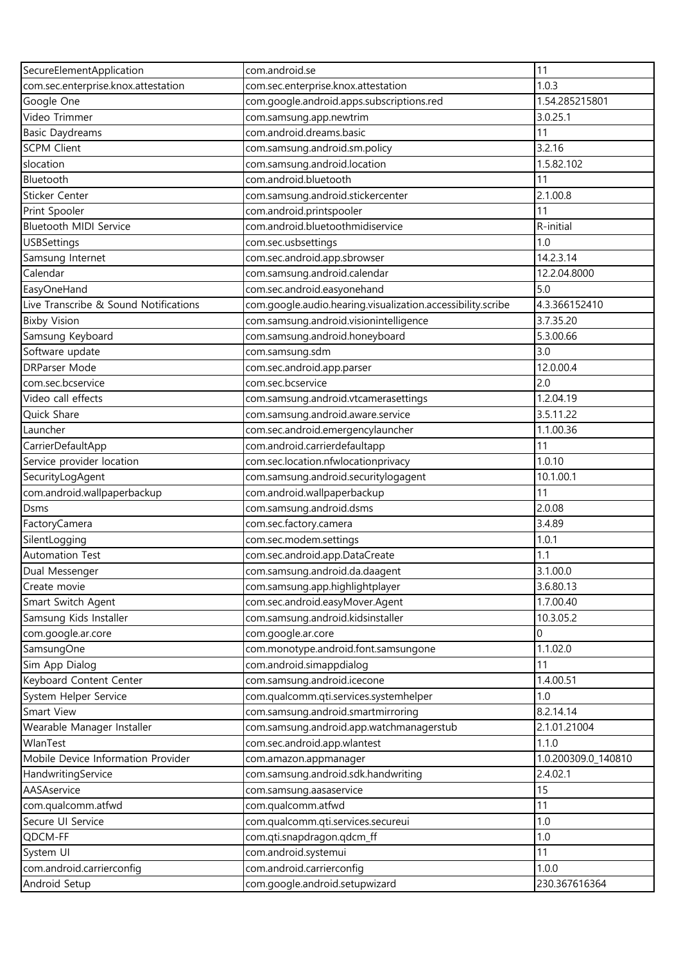| SecureElementApplication              | com.android.se                                              | 11                  |
|---------------------------------------|-------------------------------------------------------------|---------------------|
| com.sec.enterprise.knox.attestation   | com.sec.enterprise.knox.attestation                         | 1.0.3               |
| Google One                            | com.google.android.apps.subscriptions.red                   | 1.54.285215801      |
| Video Trimmer                         | com.samsung.app.newtrim                                     | 3.0.25.1            |
| <b>Basic Daydreams</b>                | com.android.dreams.basic                                    | 11                  |
| <b>SCPM Client</b>                    | com.samsung.android.sm.policy                               | 3.2.16              |
| slocation                             | com.samsung.android.location                                | 1.5.82.102          |
| Bluetooth                             | com.android.bluetooth                                       | 11                  |
| Sticker Center                        | com.samsung.android.stickercenter                           | 2.1.00.8            |
| Print Spooler                         | com.android.printspooler                                    | 11                  |
| Bluetooth MIDI Service                | com.android.bluetoothmidiservice                            | R-initial           |
| <b>USBSettings</b>                    | com.sec.usbsettings                                         | 1.0                 |
| Samsung Internet                      | com.sec.android.app.sbrowser                                | 14.2.3.14           |
| Calendar                              | com.samsung.android.calendar                                | 12.2.04.8000        |
| EasyOneHand                           | com.sec.android.easyonehand                                 | 5.0                 |
| Live Transcribe & Sound Notifications | com.google.audio.hearing.visualization.accessibility.scribe | 4.3.366152410       |
| <b>Bixby Vision</b>                   | com.samsung.android.visionintelligence                      | 3.7.35.20           |
| Samsung Keyboard                      | com.samsung.android.honeyboard                              | 5.3.00.66           |
| Software update                       | com.samsung.sdm                                             | 3.0                 |
| <b>DRParser Mode</b>                  | com.sec.android.app.parser                                  | 12.0.00.4           |
| com.sec.bcservice                     | com.sec.bcservice                                           | 2.0                 |
| Video call effects                    | com.samsung.android.vtcamerasettings                        | 1.2.04.19           |
| Quick Share                           | com.samsung.android.aware.service                           | 3.5.11.22           |
| Launcher                              | com.sec.android.emergencylauncher                           | 1.1.00.36           |
| CarrierDefaultApp                     | com.android.carrierdefaultapp                               | 11                  |
| Service provider location             | com.sec.location.nfwlocationprivacy                         | 1.0.10              |
| SecurityLogAgent                      | com.samsung.android.securitylogagent                        | 10.1.00.1           |
| com.android.wallpaperbackup           | com.android.wallpaperbackup                                 | 11                  |
| <b>Dsms</b>                           | com.samsung.android.dsms                                    | 2.0.08              |
| FactoryCamera                         | com.sec.factory.camera                                      | 3.4.89              |
| SilentLogging                         | com.sec.modem.settings                                      | 1.0.1               |
| Automation Test                       | com.sec.android.app.DataCreate                              | 1.1                 |
| Dual Messenger                        | com.samsung.android.da.daagent                              | 3.1.00.0            |
| Create movie                          | com.samsung.app.highlightplayer                             | 3.6.80.13           |
| Smart Switch Agent                    | com.sec.android.easyMover.Agent                             | 1.7.00.40           |
| Samsung Kids Installer                | com.samsung.android.kidsinstaller                           | 10.3.05.2           |
| com.google.ar.core                    | com.google.ar.core                                          | $\Omega$            |
| SamsungOne                            | com.monotype.android.font.samsungone                        | 1.1.02.0            |
| Sim App Dialog                        | com.android.simappdialog                                    | 11                  |
| Keyboard Content Center               | com.samsung.android.icecone                                 | 1.4.00.51           |
| System Helper Service                 | com.qualcomm.qti.services.systemhelper                      | 1.0                 |
| Smart View                            | com.samsung.android.smartmirroring                          | 8.2.14.14           |
| Wearable Manager Installer            | com.samsung.android.app.watchmanagerstub                    | 2.1.01.21004        |
| WlanTest                              | com.sec.android.app.wlantest                                | 1.1.0               |
| Mobile Device Information Provider    | com.amazon.appmanager                                       | 1.0.200309.0_140810 |
| HandwritingService                    | com.samsung.android.sdk.handwriting                         | 2.4.02.1            |
| AASAservice                           | com.samsung.aasaservice                                     | 15                  |
| com.qualcomm.atfwd                    | com.qualcomm.atfwd                                          | 11                  |
| Secure UI Service                     | com.qualcomm.qti.services.secureui                          | 1.0                 |
| QDCM-FF                               | com.qti.snapdragon.qdcm_ff                                  | 1.0                 |
| System UI                             | com.android.systemui                                        | 11                  |
| com.android.carrierconfig             | com.android.carrierconfig                                   | 1.0.0               |
| Android Setup                         | com.google.android.setupwizard                              | 230.367616364       |
|                                       |                                                             |                     |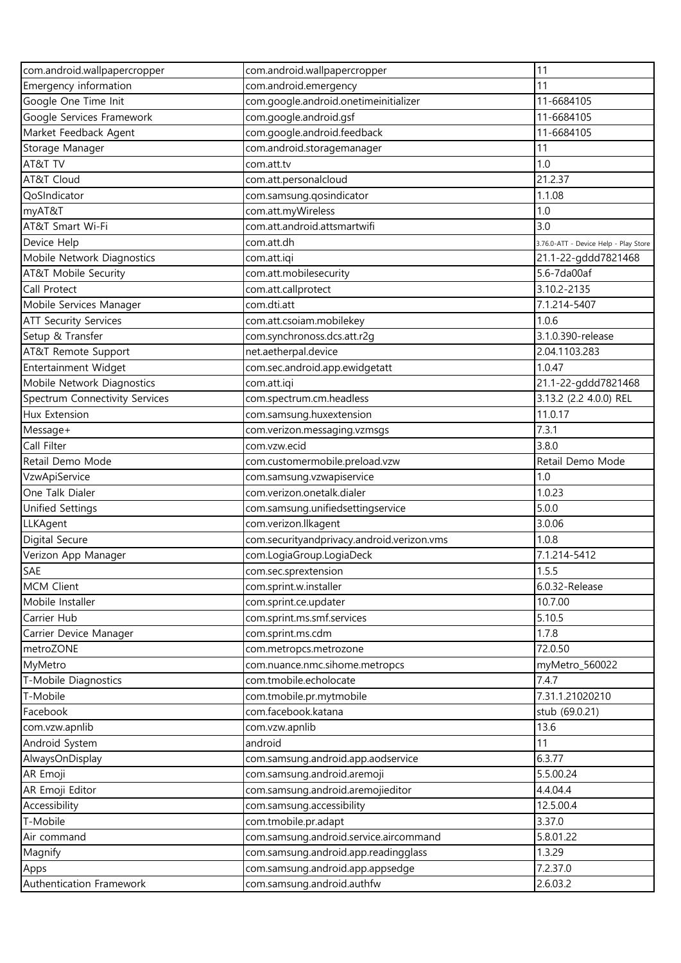| com.android.wallpapercropper   | com.android.wallpapercropper               | 11                                    |
|--------------------------------|--------------------------------------------|---------------------------------------|
| Emergency information          | com.android.emergency                      | 11                                    |
| Google One Time Init           | com.google.android.onetimeinitializer      | 11-6684105                            |
| Google Services Framework      | com.google.android.gsf                     | 11-6684105                            |
| Market Feedback Agent          | com.google.android.feedback                | 11-6684105                            |
| Storage Manager                | com.android.storagemanager                 | 11                                    |
| AT&T TV                        | com.att.tv                                 | 1.0                                   |
| AT&T Cloud                     | com.att.personalcloud                      | 21.2.37                               |
| QoSIndicator                   | com.samsung.gosindicator                   | 1.1.08                                |
| myAT&T                         | com.att.myWireless                         | 1.0                                   |
| AT&T Smart Wi-Fi               | com.att.android.attsmartwifi               | 3.0                                   |
| Device Help                    | com.att.dh                                 | 3.76.0-ATT - Device Help - Play Store |
| Mobile Network Diagnostics     | com.att.iqi                                | 21.1-22-gddd7821468                   |
| AT&T Mobile Security           | com.att.mobilesecurity                     | 5.6-7da00af                           |
| Call Protect                   | com.att.callprotect                        | 3.10.2-2135                           |
| Mobile Services Manager        | com.dti.att                                | 7.1.214-5407                          |
| <b>ATT Security Services</b>   | com.att.csoiam.mobilekey                   | 1.0.6                                 |
| Setup & Transfer               | com.synchronoss.dcs.att.r2q                | 3.1.0.390-release                     |
| AT&T Remote Support            | net.aetherpal.device                       | 2.04.1103.283                         |
| Entertainment Widget           | com.sec.android.app.ewidgetatt             | 1.0.47                                |
| Mobile Network Diagnostics     | com.att.iqi                                | 21.1-22-gddd7821468                   |
| Spectrum Connectivity Services | com.spectrum.cm.headless                   | 3.13.2 (2.2 4.0.0) REL                |
| Hux Extension                  | com.samsung.huxextension                   | 11.0.17                               |
| Message+                       | com.verizon.messaging.vzmsgs               | 7.3.1                                 |
| Call Filter                    | com.vzw.ecid                               | 3.8.0                                 |
| Retail Demo Mode               | com.customermobile.preload.vzw             | Retail Demo Mode                      |
| VzwApiService                  | com.samsung.vzwapiservice                  | 1.0                                   |
| One Talk Dialer                | com.verizon.onetalk.dialer                 | 1.0.23                                |
| <b>Unified Settings</b>        | com.samsung.unifiedsettingservice          | 5.0.0                                 |
| LLKAgent                       | com.verizon.llkagent                       | 3.0.06                                |
| Digital Secure                 | com.securityandprivacy.android.verizon.vms | 1.0.8                                 |
| Verizon App Manager            | com.LogiaGroup.LogiaDeck                   | 7.1.214-5412                          |
| SAE                            | com.sec.sprextension                       | 1.5.5                                 |
| MCM Client                     | com.sprint.w.installer                     | 6.0.32-Release                        |
| Mobile Installer               | com.sprint.ce.updater                      | 10.7.00                               |
| Carrier Hub                    | com.sprint.ms.smf.services                 | 5.10.5                                |
| Carrier Device Manager         | com.sprint.ms.cdm                          | 1.7.8                                 |
| metroZONE                      | com.metropcs.metrozone                     | 72.0.50                               |
| MyMetro                        | com.nuance.nmc.sihome.metropcs             | myMetro_560022                        |
| T-Mobile Diagnostics           | com.tmobile.echolocate                     | 7.4.7                                 |
| T-Mobile                       | com.tmobile.pr.mytmobile                   | 7.31.1.21020210                       |
| Facebook                       | com.facebook.katana                        | stub (69.0.21)                        |
| com.vzw.apnlib                 | com.vzw.apnlib                             | 13.6                                  |
| Android System                 | android                                    | 11                                    |
| AlwaysOnDisplay                | com.samsung.android.app.aodservice         | 6.3.77                                |
| AR Emoji                       | com.samsung.android.aremoji                | 5.5.00.24                             |
| AR Emoji Editor                | com.samsung.android.aremojieditor          | 4.4.04.4                              |
| Accessibility                  | com.samsung.accessibility                  | 12.5.00.4                             |
| T-Mobile                       | com.tmobile.pr.adapt                       | 3.37.0                                |
| Air command                    | com.samsung.android.service.aircommand     | 5.8.01.22                             |
| Magnify                        | com.samsung.android.app.readingglass       | 1.3.29                                |
| Apps                           | com.samsung.android.app.appsedge           | 7.2.37.0                              |
| Authentication Framework       | com.samsung.android.authfw                 | 2.6.03.2                              |
|                                |                                            |                                       |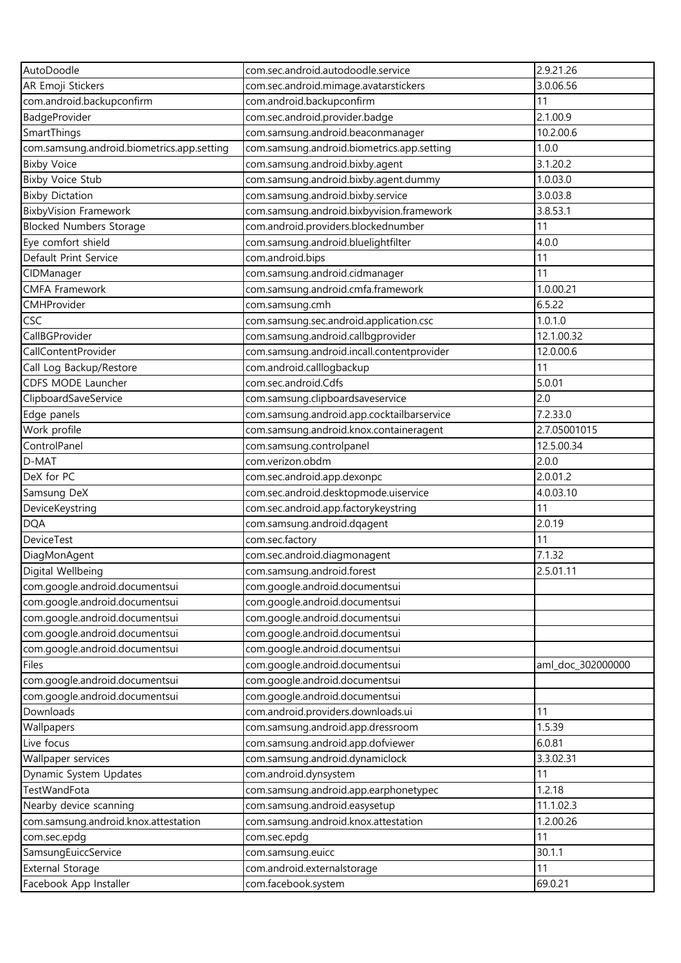| AutoDoodle                                 | com.sec.android.autodoodle.service         | 2.9.21.26         |
|--------------------------------------------|--------------------------------------------|-------------------|
| AR Emoji Stickers                          | com.sec.android.mimage.avatarstickers      | 3.0.06.56         |
| com.android.backupconfirm                  | com.android.backupconfirm                  | 11                |
| BadgeProvider                              | com.sec.android.provider.badge             | 2.1.00.9          |
| SmartThings                                | com.samsung.android.beaconmanager          | 10.2.00.6         |
| com.samsung.android.biometrics.app.setting | com.samsung.android.biometrics.app.setting | 1.0.0             |
| <b>Bixby Voice</b>                         | com.samsung.android.bixby.agent            | 3.1.20.2          |
| <b>Bixby Voice Stub</b>                    | com.samsung.android.bixby.agent.dummy      | 1.0.03.0          |
| <b>Bixby Dictation</b>                     | com.samsung.android.bixby.service          | 3.0.03.8          |
| <b>BixbyVision Framework</b>               | com.samsung.android.bixbyvision.framework  | 3.8.53.1          |
| <b>Blocked Numbers Storage</b>             | com.android.providers.blockednumber        | 11                |
| Eye comfort shield                         | com.samsung.android.bluelightfilter        | 4.0.0             |
| Default Print Service                      | com.android.bips                           | 11                |
| CIDManager                                 | com.samsung.android.cidmanager             | 11                |
| <b>CMFA Framework</b>                      | com.samsung.android.cmfa.framework         | 1.0.00.21         |
| CMHProvider                                | com.samsung.cmh                            | 6.5.22            |
| <b>CSC</b>                                 | com.samsung.sec.android.application.csc    | 1.0.1.0           |
| CallBGProvider                             | com.samsung.android.callbgprovider         | 12.1.00.32        |
| CallContentProvider                        | com.samsung.android.incall.contentprovider | 12.0.00.6         |
| Call Log Backup/Restore                    | com.android.calllogbackup                  | 11                |
| CDFS MODE Launcher                         | com.sec.android.Cdfs                       | 5.0.01            |
| ClipboardSaveService                       | com.samsung.clipboardsaveservice           | 2.0               |
| Edge panels                                | com.samsung.android.app.cocktailbarservice | 7.2.33.0          |
| Work profile                               | com.samsung.android.knox.containeragent    | 2.7.05001015      |
| ControlPanel                               | com.samsung.controlpanel                   | 12.5.00.34        |
| D-MAT                                      | com.verizon.obdm                           | 2.0.0             |
| DeX for PC                                 | com.sec.android.app.dexonpc                | 2.0.01.2          |
| Samsung DeX                                | com.sec.android.desktopmode.uiservice      | 4.0.03.10         |
|                                            |                                            | 11                |
| DeviceKeystring                            | com.sec.android.app.factorykeystring       |                   |
| <b>DQA</b>                                 | com.samsung.android.dqagent                | 2.0.19            |
| <b>DeviceTest</b>                          | com.sec.factory                            | 11                |
| DiagMonAgent                               | com.sec.android.diagmonagent               | 7.1.32            |
| Digital Wellbeing                          | com.samsung.android.forest                 | 2.5.01.11         |
| com.google.android.documentsui             | com.google.android.documentsui             |                   |
| com.google.android.documentsui             | com.google.android.documentsui             |                   |
| com.google.android.documentsui             | com.google.android.documentsui             |                   |
| com.google.android.documentsui             | com.google.android.documentsui             |                   |
| com.google.android.documentsui             | com.google.android.documentsui             |                   |
| Files                                      | com.google.android.documentsui             | aml_doc_302000000 |
| com.google.android.documentsui             | com.google.android.documentsui             |                   |
| com.google.android.documentsui             | com.google.android.documentsui             |                   |
| Downloads                                  | com.android.providers.downloads.ui         | 11                |
| Wallpapers                                 | com.samsung.android.app.dressroom          | 1.5.39            |
| Live focus                                 | com.samsung.android.app.dofviewer          | 6.0.81            |
| Wallpaper services                         | com.samsung.android.dynamiclock            | 3.3.02.31         |
| Dynamic System Updates                     | com.android.dynsystem                      | 11                |
| <b>TestWandFota</b>                        | com.samsung.android.app.earphonetypec      | 1.2.18            |
| Nearby device scanning                     | com.samsung.android.easysetup              | 11.1.02.3         |
| com.samsung.android.knox.attestation       | com.samsung.android.knox.attestation       | 1.2.00.26         |
| com.sec.epdg                               | com.sec.epdg                               | 11                |
| SamsungEuiccService                        | com.samsung.euicc                          | 30.1.1            |
| <b>External Storage</b>                    | com.android.externalstorage                | 11                |
| Facebook App Installer                     | com.facebook.system                        | 69.0.21           |
|                                            |                                            |                   |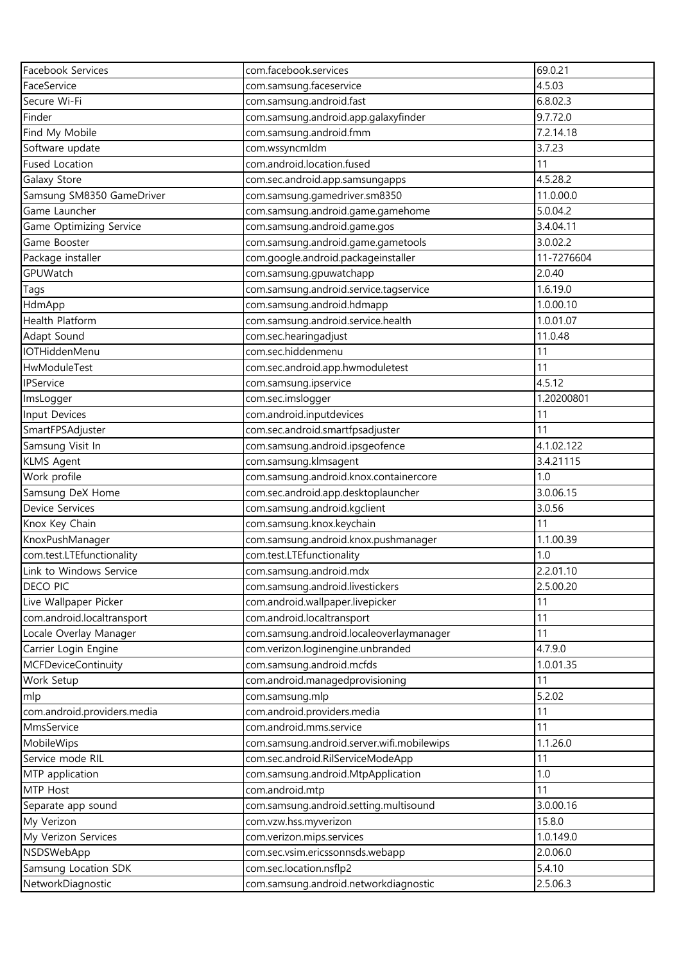| Facebook Services           | com.facebook.services                      | 69.0.21    |
|-----------------------------|--------------------------------------------|------------|
| FaceService                 | com.samsung.faceservice                    | 4.5.03     |
| Secure Wi-Fi                | com.samsung.android.fast                   | 6.8.02.3   |
| Finder                      | com.samsung.android.app.galaxyfinder       | 9.7.72.0   |
| Find My Mobile              | com.samsung.android.fmm                    | 7.2.14.18  |
| Software update             | com.wssyncmldm                             | 3.7.23     |
| <b>Fused Location</b>       | com.android.location.fused                 | 11         |
| Galaxy Store                | com.sec.android.app.samsungapps            | 4.5.28.2   |
| Samsung SM8350 GameDriver   | com.samsung.gamedriver.sm8350              | 11.0.00.0  |
| Game Launcher               | com.samsung.android.game.gamehome          | 5.0.04.2   |
| Game Optimizing Service     | com.samsung.android.game.gos               | 3.4.04.11  |
| Game Booster                | com.samsung.android.game.gametools         | 3.0.02.2   |
| Package installer           | com.google.android.packageinstaller        | 11-7276604 |
| GPUWatch                    | com.samsung.gpuwatchapp                    | 2.0.40     |
| Tags                        | com.samsung.android.service.tagservice     | 1.6.19.0   |
| HdmApp                      | com.samsung.android.hdmapp                 | 1.0.00.10  |
| Health Platform             | com.samsung.android.service.health         | 1.0.01.07  |
| Adapt Sound                 | com.sec.hearingadjust                      | 11.0.48    |
| <b>IOTHiddenMenu</b>        | com.sec.hiddenmenu                         | 11         |
| HwModuleTest                | com.sec.android.app.hwmoduletest           | 11         |
| IPService                   | com.samsung.ipservice                      | 4.5.12     |
| ImsLogger                   | com.sec.imslogger                          | 1.20200801 |
| Input Devices               | com.android.inputdevices                   | 11         |
| SmartFPSAdjuster            | com.sec.android.smartfpsadjuster           | 11         |
| Samsung Visit In            | com.samsung.android.ipsgeofence            | 4.1.02.122 |
| <b>KLMS Agent</b>           | com.samsung.klmsagent                      | 3.4.21115  |
| Work profile                | com.samsung.android.knox.containercore     | 1.0        |
| Samsung DeX Home            | com.sec.android.app.desktoplauncher        | 3.0.06.15  |
| <b>Device Services</b>      | com.samsung.android.kgclient               | 3.0.56     |
| Knox Key Chain              | com.samsung.knox.keychain                  | 11         |
| KnoxPushManager             | com.samsung.android.knox.pushmanager       | 1.1.00.39  |
| com.test.LTEfunctionality   | com.test.LTEfunctionality                  | 1.0        |
| Link to Windows Service     | com.samsung.android.mdx                    | 2.2.01.10  |
| DECO PIC                    | com.samsung.android.livestickers           | 2.5.00.20  |
| Live Wallpaper Picker       | com.android.wallpaper.livepicker           | 11         |
| com.android.localtransport  | com.android.localtransport                 | 11         |
| Locale Overlay Manager      | com.samsung.android.localeoverlaymanager   | 11         |
| Carrier Login Engine        | com.verizon.loginengine.unbranded          | 4.7.9.0    |
| <b>MCFDeviceContinuity</b>  | com.samsung.android.mcfds                  | 1.0.01.35  |
| Work Setup                  | com.android.managedprovisioning            | 11         |
| mlp                         | com.samsung.mlp                            | 5.2.02     |
| com.android.providers.media | com.android.providers.media                | 11         |
| MmsService                  | com.android.mms.service                    | 11         |
| MobileWips                  | com.samsung.android.server.wifi.mobilewips | 1.1.26.0   |
| Service mode RIL            | com.sec.android.RilServiceModeApp          | 11         |
| MTP application             | com.samsung.android.MtpApplication         | 1.0        |
| MTP Host                    | com.android.mtp                            | 11         |
| Separate app sound          | com.samsung.android.setting.multisound     | 3.0.00.16  |
| My Verizon                  | com.vzw.hss.myverizon                      | 15.8.0     |
| My Verizon Services         | com.verizon.mips.services                  | 1.0.149.0  |
| NSDSWebApp                  | com.sec.vsim.ericssonnsds.webapp           | 2.0.06.0   |
| Samsung Location SDK        | com.sec.location.nsflp2                    | 5.4.10     |
| NetworkDiagnostic           | com.samsung.android.networkdiagnostic      | 2.5.06.3   |
|                             |                                            |            |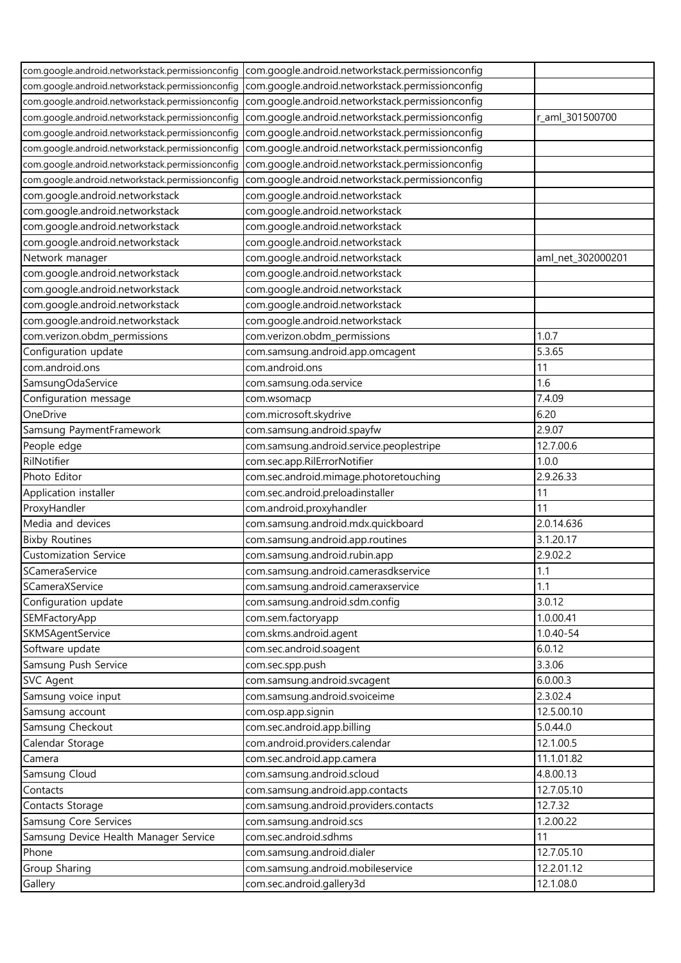| com.google.android.networkstack.permissionconfig | com.google.android.networkstack.permissionconfig |                   |
|--------------------------------------------------|--------------------------------------------------|-------------------|
| com.google.android.networkstack.permissionconfig | com.google.android.networkstack.permissionconfig |                   |
| com.google.android.networkstack.permissionconfig | com.google.android.networkstack.permissionconfig |                   |
| com.google.android.networkstack.permissionconfig | com.google.android.networkstack.permissionconfig | r_aml_301500700   |
| com.google.android.networkstack.permissionconfig | com.google.android.networkstack.permissionconfig |                   |
| com.google.android.networkstack.permissionconfig | com.google.android.networkstack.permissionconfig |                   |
| com.google.android.networkstack.permissionconfig | com.google.android.networkstack.permissionconfig |                   |
| com.google.android.networkstack.permissionconfig | com.google.android.networkstack.permissionconfig |                   |
| com.google.android.networkstack                  | com.google.android.networkstack                  |                   |
| com.google.android.networkstack                  | com.google.android.networkstack                  |                   |
| com.google.android.networkstack                  | com.google.android.networkstack                  |                   |
| com.google.android.networkstack                  | com.google.android.networkstack                  |                   |
| Network manager                                  | com.google.android.networkstack                  | aml_net_302000201 |
| com.google.android.networkstack                  | com.google.android.networkstack                  |                   |
| com.google.android.networkstack                  | com.google.android.networkstack                  |                   |
| com.google.android.networkstack                  | com.google.android.networkstack                  |                   |
| com.google.android.networkstack                  | com.google.android.networkstack                  |                   |
| com.verizon.obdm_permissions                     | com.verizon.obdm_permissions                     | 1.0.7             |
| Configuration update                             | com.samsung.android.app.omcagent                 | 5.3.65            |
| com.android.ons                                  | com.android.ons                                  | 11                |
| SamsungOdaService                                | com.samsung.oda.service                          | 1.6               |
| Configuration message                            | com.wsomacp                                      | 7.4.09            |
| OneDrive                                         | com.microsoft.skydrive                           | 6.20              |
| Samsung PaymentFramework                         | com.samsung.android.spayfw                       | 2.9.07            |
| People edge                                      | com.samsung.android.service.peoplestripe         | 12.7.00.6         |
| RilNotifier                                      | com.sec.app.RilErrorNotifier                     | 1.0.0             |
| Photo Editor                                     | com.sec.android.mimage.photoretouching           | 2.9.26.33         |
| Application installer                            | com.sec.android.preloadinstaller                 | 11                |
| ProxyHandler                                     | com.android.proxyhandler                         | 11                |
| Media and devices                                | com.samsung.android.mdx.quickboard               | 2.0.14.636        |
| <b>Bixby Routines</b>                            | com.samsung.android.app.routines                 | 3.1.20.17         |
| <b>Customization Service</b>                     | com.samsung.android.rubin.app                    | 2.9.02.2          |
| SCameraService                                   | com.samsung.android.camerasdkservice             | 1.1               |
| SCameraXService                                  | com.samsung.android.cameraxservice               | 1.1               |
| Configuration update                             | com.samsung.android.sdm.config                   | 3.0.12            |
| SEMFactoryApp                                    | com.sem.factoryapp                               | 1.0.00.41         |
| SKMSAgentService                                 | com.skms.android.agent                           | 1.0.40-54         |
| Software update                                  | com.sec.android.soagent                          | 6.0.12            |
| Samsung Push Service                             | com.sec.spp.push                                 | 3.3.06            |
| <b>SVC Agent</b>                                 | com.samsung.android.svcagent                     | 6.0.00.3          |
| Samsung voice input                              | com.samsung.android.svoiceime                    | 2.3.02.4          |
| Samsung account                                  | com.osp.app.signin                               | 12.5.00.10        |
| Samsung Checkout                                 | com.sec.android.app.billing                      | 5.0.44.0          |
| Calendar Storage                                 | com.android.providers.calendar                   | 12.1.00.5         |
| Camera                                           | com.sec.android.app.camera                       | 11.1.01.82        |
| Samsung Cloud                                    | com.samsung.android.scloud                       | 4.8.00.13         |
| Contacts                                         | com.samsung.android.app.contacts                 | 12.7.05.10        |
| Contacts Storage                                 | com.samsung.android.providers.contacts           | 12.7.32           |
| <b>Samsung Core Services</b>                     | com.samsung.android.scs                          | 1.2.00.22         |
| Samsung Device Health Manager Service            | com.sec.android.sdhms                            | 11                |
| Phone                                            | com.samsung.android.dialer                       | 12.7.05.10        |
| Group Sharing                                    | com.samsung.android.mobileservice                | 12.2.01.12        |
| Gallery                                          | com.sec.android.gallery3d                        | 12.1.08.0         |
|                                                  |                                                  |                   |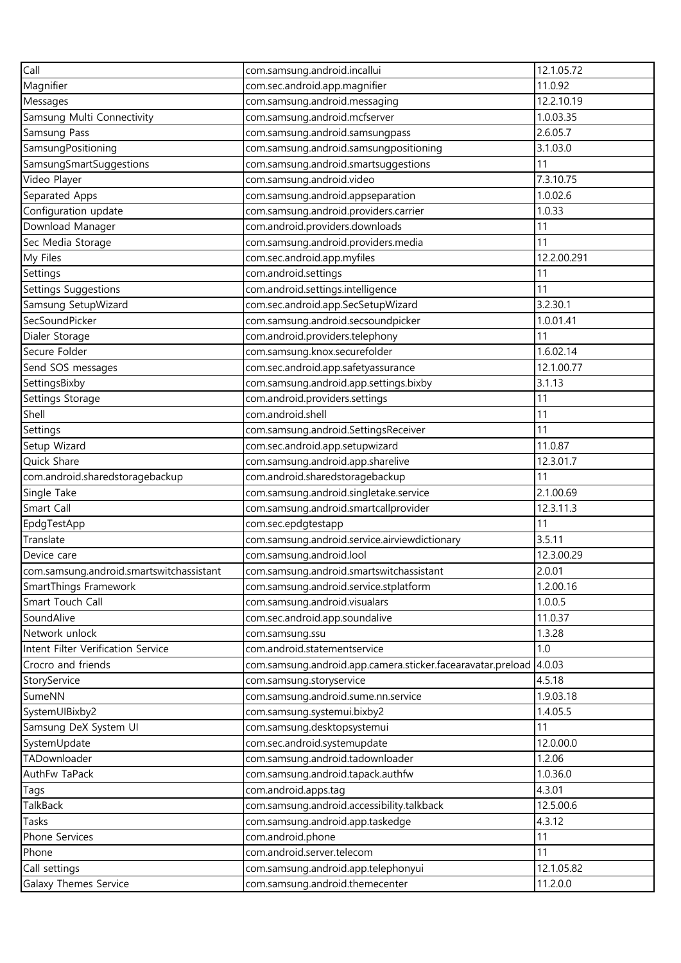| Call                                     | com.samsung.android.incallui                                | 12.1.05.72  |
|------------------------------------------|-------------------------------------------------------------|-------------|
| Magnifier                                | com.sec.android.app.magnifier                               | 11.0.92     |
| Messages                                 | com.samsung.android.messaging                               | 12.2.10.19  |
| Samsung Multi Connectivity               | com.samsung.android.mcfserver                               | 1.0.03.35   |
| Samsung Pass                             | com.samsung.android.samsungpass                             | 2.6.05.7    |
| SamsungPositioning                       | com.samsung.android.samsungpositioning                      | 3.1.03.0    |
| SamsungSmartSuggestions                  | com.samsung.android.smartsuggestions                        | 11          |
| Video Player                             | com.samsung.android.video                                   | 7.3.10.75   |
| Separated Apps                           | com.samsung.android.appseparation                           | 1.0.02.6    |
| Configuration update                     | com.samsung.android.providers.carrier                       | 1.0.33      |
| Download Manager                         | com.android.providers.downloads                             | 11          |
| Sec Media Storage                        | com.samsung.android.providers.media                         | 11          |
| My Files                                 | com.sec.android.app.myfiles                                 | 12.2.00.291 |
| Settings                                 | com.android.settings                                        | 11          |
| Settings Suggestions                     | com.android.settings.intelligence                           | 11          |
| Samsung SetupWizard                      | com.sec.android.app.SecSetupWizard                          | 3.2.30.1    |
| SecSoundPicker                           | com.samsung.android.secsoundpicker                          | 1.0.01.41   |
| Dialer Storage                           | com.android.providers.telephony                             | 11          |
| Secure Folder                            | com.samsung.knox.securefolder                               | 1.6.02.14   |
| Send SOS messages                        | com.sec.android.app.safetyassurance                         | 12.1.00.77  |
| SettingsBixby                            | com.samsung.android.app.settings.bixby                      | 3.1.13      |
| Settings Storage                         | com.android.providers.settings                              | 11          |
| Shell                                    | com.android.shell                                           | 11          |
| Settings                                 | com.samsung.android.SettingsReceiver                        | 11          |
| Setup Wizard                             | com.sec.android.app.setupwizard                             | 11.0.87     |
| Quick Share                              | com.samsung.android.app.sharelive                           | 12.3.01.7   |
| com.android.sharedstoragebackup          | com.android.sharedstoragebackup                             | 11          |
| Single Take                              | com.samsung.android.singletake.service                      | 2.1.00.69   |
| Smart Call                               | com.samsung.android.smartcallprovider                       | 12.3.11.3   |
| EpdgTestApp                              | com.sec.epdgtestapp                                         | 11          |
| Translate                                | com.samsung.android.service.airviewdictionary               | 3.5.11      |
| Device care                              | com.samsung.android.lool                                    | 12.3.00.29  |
| com.samsung.android.smartswitchassistant | com.samsung.android.smartswitchassistant                    | 2.0.01      |
| SmartThings Framework                    | com.samsung.android.service.stplatform                      | 1.2.00.16   |
| Smart Touch Call                         | com.samsung.android.visualars                               | 1.0.0.5     |
| SoundAlive                               | com.sec.android.app.soundalive                              | 11.0.37     |
| Network unlock                           | com.samsung.ssu                                             | 1.3.28      |
| Intent Filter Verification Service       | com.android.statementservice                                | 1.0         |
| Crocro and friends                       | com.samsung.android.app.camera.sticker.facearavatar.preload | 4.0.03      |
| StoryService                             | com.samsung.storyservice                                    | 4.5.18      |
| SumeNN                                   | com.samsung.android.sume.nn.service                         | 1.9.03.18   |
| SystemUIBixby2                           | com.samsung.systemui.bixby2                                 | 1.4.05.5    |
| Samsung DeX System UI                    | com.samsung.desktopsystemui                                 | 11          |
| SystemUpdate                             | com.sec.android.systemupdate                                | 12.0.00.0   |
| TADownloader                             | com.samsung.android.tadownloader                            | 1.2.06      |
| AuthFw TaPack                            | com.samsung.android.tapack.authfw                           | 1.0.36.0    |
| Tags                                     | com.android.apps.tag                                        | 4.3.01      |
| TalkBack                                 | com.samsung.android.accessibility.talkback                  | 12.5.00.6   |
| Tasks                                    | com.samsung.android.app.taskedge                            | 4.3.12      |
| Phone Services                           | com.android.phone                                           | 11          |
| Phone                                    | com.android.server.telecom                                  | 11          |
| Call settings                            | com.samsung.android.app.telephonyui                         | 12.1.05.82  |
| Galaxy Themes Service                    | com.samsung.android.themecenter                             | 11.2.0.0    |
|                                          |                                                             |             |